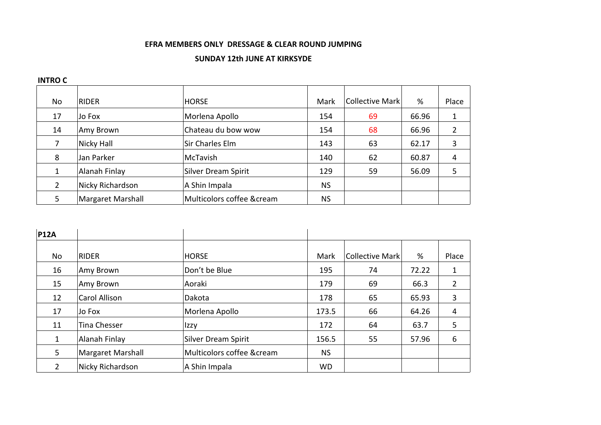## **EFRA MEMBERS ONLY DRESSAGE & CLEAR ROUND JUMPING**

## **SUNDAY 12th JUNE AT KIRKSYDE**

## **INTRO C**

| No | <b>RIDER</b>      | <b>HORSE</b>              | Mark      | Collective Mark | %     | Place |
|----|-------------------|---------------------------|-----------|-----------------|-------|-------|
| 17 | Jo Fox            | Morlena Apollo            | 154       | 69              | 66.96 |       |
| 14 | Amy Brown         | Chateau du bow wow        | 154       | 68              | 66.96 | 2     |
| 7  | Nicky Hall        | Sir Charles Elm           | 143       | 63              | 62.17 | 3     |
| 8  | Jan Parker        | McTavish                  | 140       | 62              | 60.87 | 4     |
| 1  | Alanah Finlay     | Silver Dream Spirit       | 129       | 59              | 56.09 | 5     |
| 2  | Nicky Richardson  | A Shin Impala             | <b>NS</b> |                 |       |       |
| 5  | Margaret Marshall | Multicolors coffee &cream | <b>NS</b> |                 |       |       |

| <b>P12A</b>    |                      |                           |           |                 |       |                |
|----------------|----------------------|---------------------------|-----------|-----------------|-------|----------------|
| No             | <b>RIDER</b>         | <b>HORSE</b>              | Mark      | Collective Mark | %     | Place          |
| 16             | Amy Brown            | Don't be Blue             | 195       | 74              | 72.22 | 1              |
| 15             | Amy Brown            | Aoraki                    | 179       | 69              | 66.3  | $\overline{2}$ |
| 12             | <b>Carol Allison</b> | Dakota                    | 178       | 65              | 65.93 | 3              |
| 17             | Jo Fox               | Morlena Apollo            | 173.5     | 66              | 64.26 | 4              |
| 11             | Tina Chesser         | Izzy                      | 172       | 64              | 63.7  | 5              |
| $\mathbf{1}$   | Alanah Finlay        | Silver Dream Spirit       | 156.5     | 55              | 57.96 | 6              |
| 5              | Margaret Marshall    | Multicolors coffee &cream | <b>NS</b> |                 |       |                |
| $\overline{2}$ | Nicky Richardson     | A Shin Impala             | <b>WD</b> |                 |       |                |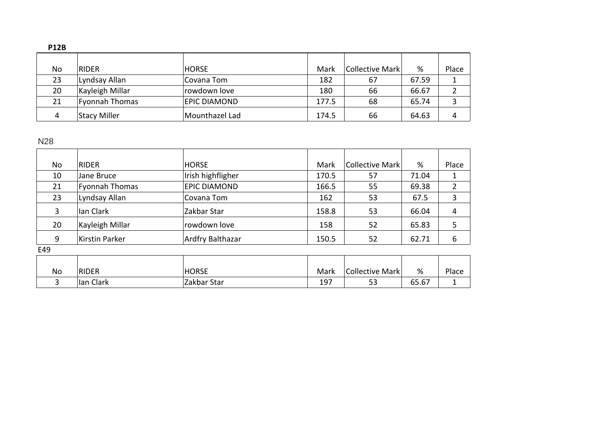| PIZB. |                       |                     |       |                 |       |       |
|-------|-----------------------|---------------------|-------|-----------------|-------|-------|
| No    | <b>RIDER</b>          | <b>HORSE</b>        | Mark  | Collective Mark | %     | Place |
| 23    | Lyndsay Allan         | Covana Tom          | 182   | 67              | 67.59 |       |
| 20    | Kayleigh Millar       | rowdown love        | 180   | 66              | 66.67 |       |
| 21    | <b>Fyonnah Thomas</b> | <b>EPIC DIAMOND</b> | 177.5 | 68              | 65.74 |       |
| 4     | <b>Stacy Miller</b>   | Mounthazel Lad      | 174.5 | 66              | 64.63 | 4     |

## N28

| <b>No</b> | RIDER           | <b>HORSE</b>        | Mark  | Collective Mark | %     | Place |
|-----------|-----------------|---------------------|-------|-----------------|-------|-------|
| 10        | Jane Bruce      | Irish highfligher   | 170.5 | 57              | 71.04 |       |
| 21        | Fyonnah Thomas  | <b>EPIC DIAMOND</b> | 166.5 | 55              | 69.38 |       |
| 23        | Lyndsay Allan   | Covana Tom          | 162   | 53              | 67.5  | 3     |
| 3         | Ian Clark       | Zakbar Star         | 158.8 | 53              | 66.04 | 4     |
| 20        | Kayleigh Millar | rowdown love        | 158   | 52              | 65.83 |       |
| 9         | Kirstin Parker  | Ardfry Balthazar    | 150.5 | 52              | 62.71 | 6     |
| E49       |                 |                     |       |                 |       |       |

| No | <b>RIDER</b> | <b>HORSE</b> | Mark | Collective Mark | %     | Place |
|----|--------------|--------------|------|-----------------|-------|-------|
|    | Ian Clark    | Zakbar Star  | 197  | 53              | 65.67 |       |

**P12B**